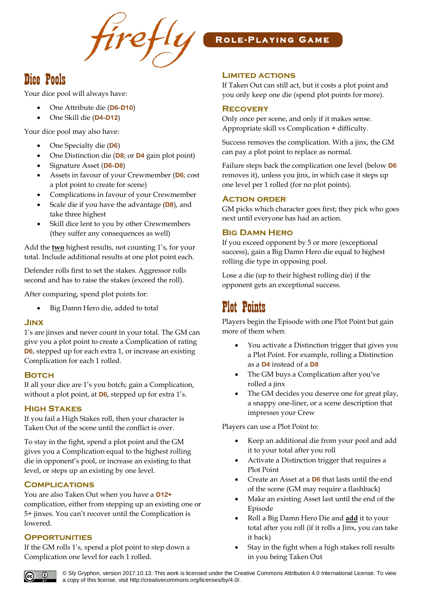

## Dice Pools

Your dice pool will always have:

- One Attribute die (**D6**-**D10**)
- One Skill die (**D4**-**D12**)

Your dice pool may also have:

- One Specialty die (**D6**)
- One Distinction die (**D8**; or **D4** gain plot point)
- Signature Asset (**D6**-**D8**)
- Assets in favour of your Crewmember (**D6**; cost a plot point to create for scene)
- Complications in favour of your Crewmember
- Scale die if you have the advantage (**D8**), and take three highest
- Skill dice lent to you by other Crewmembers (they suffer any consequences as well)

Add the **two** highest results, not counting 1's, for your total. Include additional results at one plot point each.

Defender rolls first to set the stakes. Aggressor rolls second and has to raise the stakes (exceed the roll).

After comparing, spend plot points for:

• Big Damn Hero die, added to total

### **Jinx**

1's are jinxes and never count in your total. The GM can give you a plot point to create a Complication of rating **D6**, stepped up for each extra 1, or increase an existing Complication for each 1 rolled.

### **Botch**

If all your dice are 1's you botch; gain a Complication, without a plot point, at **D6**, stepped up for extra 1's.

### **High Stakes**

If you fail a High Stakes roll, then your character is Taken Out of the scene until the conflict is over.

To stay in the fight, spend a plot point and the GM gives you a Complication equal to the highest rolling die in opponent's pool, or increase an existing to that level, or steps up an existing by one level.

### **Complications**

You are also Taken Out when you have a **D12+** complication, either from stepping up an existing one or 5+ jinxes. You can't recover until the Complication is lowered.

### **Opportunities**

If the GM rolls 1's, spend a plot point to step down a Complication one level for each 1 rolled.

## **R o l e - P l a y i n g G a m e**

## **Limited actions**

If Taken Out can still act, but it costs a plot point and you only keep one die (spend plot points for more).

## **Recovery**

Only once per scene, and only if it makes sense. Appropriate skill vs Complication + difficulty.

Success removes the complication. With a jinx, the GM can pay a plot point to replace as normal.

Failure steps back the complication one level (below **D6** removes it), unless you jinx, in which case it steps up one level per 1 rolled (for no plot points).

### **Action order**

GM picks which character goes first; they pick who goes next until everyone has had an action.

## **Big Damn Hero**

If you exceed opponent by 5 or more (exceptional success), gain a Big Damn Hero die equal to highest rolling die type in opposing pool.

Lose a die (up to their highest rolling die) if the opponent gets an exceptional success.

# Plot Points

Players begin the Episode with one Plot Point but gain more of them when:

- You activate a Distinction trigger that gives you a Plot Point. For example, rolling a Distinction as a **D4** instead of a **D8**
- The GM buys a Complication after you've rolled a jinx
- The GM decides you deserve one for great play, a snappy one-liner, or a scene description that impresses your Crew

Players can use a Plot Point to:

- Keep an additional die from your pool and add it to your total after you roll
- Activate a Distinction trigger that requires a Plot Point
- Create an Asset at a **D6** that lasts until the end of the scene (GM may require a flashback)
- Make an existing Asset last until the end of the Episode
- Roll a Big Damn Hero Die and **add** it to your total after you roll (if it rolls a Jinx, you can take it back)
- Stay in the fight when a high stakes roll results in you being Taken Out